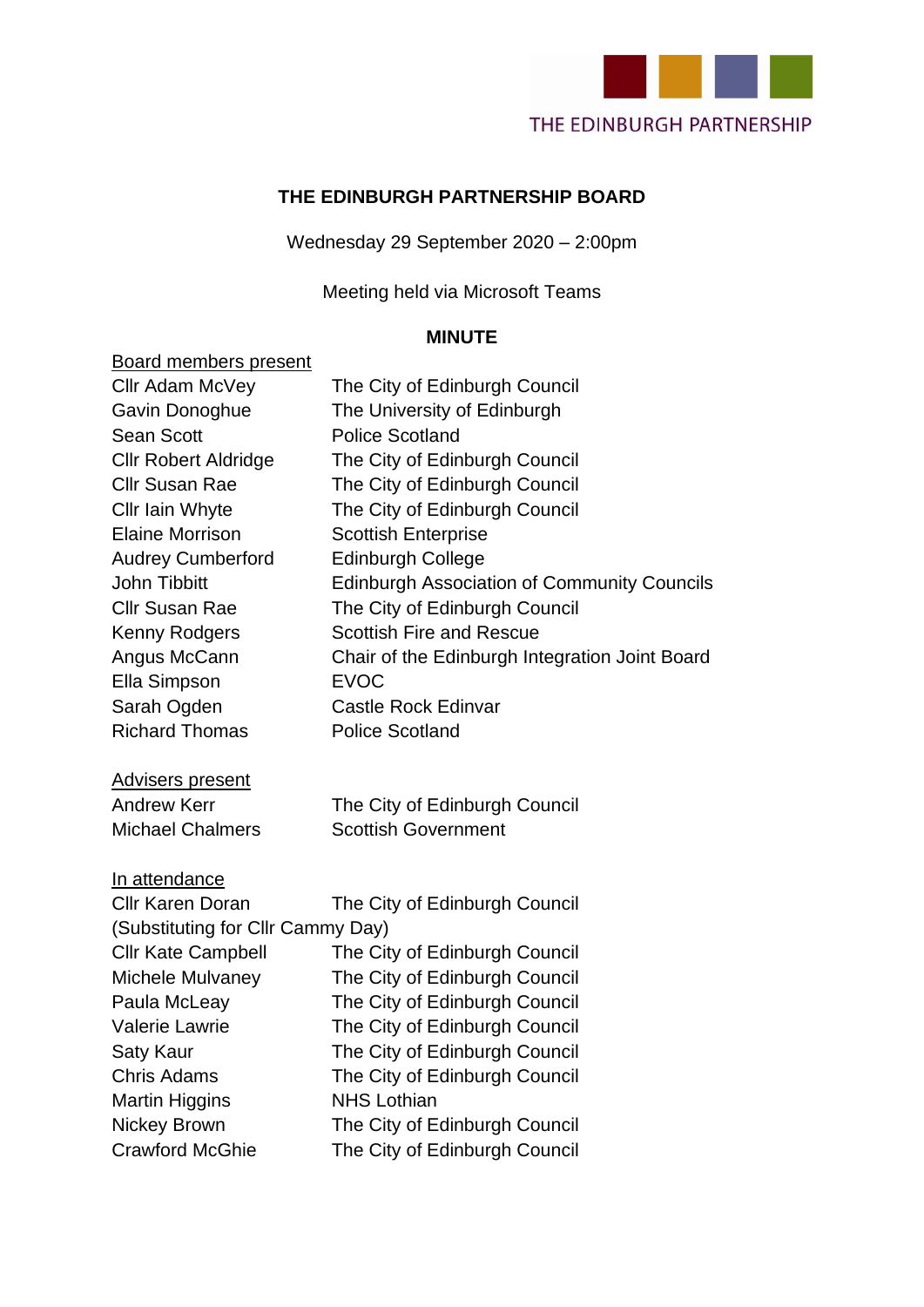

#### **THE EDINBURGH PARTNERSHIP BOARD**

Wednesday 29 September 2020 – 2:00pm

Meeting held via Microsoft Teams

#### **MINUTE**

## Board members present Cllr Adam McVey The City of Edinburgh Council Gavin Donoghue The University of Edinburgh Sean Scott Police Scotland Cllr Robert Aldridge The City of Edinburgh Council Cllr Susan Rae The City of Edinburgh Council Cllr Iain Whyte The City of Edinburgh Council Elaine Morrison Scottish Enterprise Audrey Cumberford Edinburgh College John Tibbitt **Edinburgh Association of Community Councils** Cllr Susan Rae The City of Edinburgh Council Kenny Rodgers Scottish Fire and Rescue Angus McCann Chair of the Edinburgh Integration Joint Board Ella Simpson EVOC Sarah Ogden Castle Rock Edinvar Richard Thomas Police Scotland Advisers present Andrew Kerr The City of Edinburgh Council Michael Chalmers **Scottish Government**

#### In attendance

| The City of Edinburgh Council     |  |
|-----------------------------------|--|
| (Substituting for Cllr Cammy Day) |  |
| The City of Edinburgh Council     |  |
| The City of Edinburgh Council     |  |
| The City of Edinburgh Council     |  |
| The City of Edinburgh Council     |  |
| The City of Edinburgh Council     |  |
| The City of Edinburgh Council     |  |
| <b>NHS Lothian</b>                |  |
| The City of Edinburgh Council     |  |
| The City of Edinburgh Council     |  |
|                                   |  |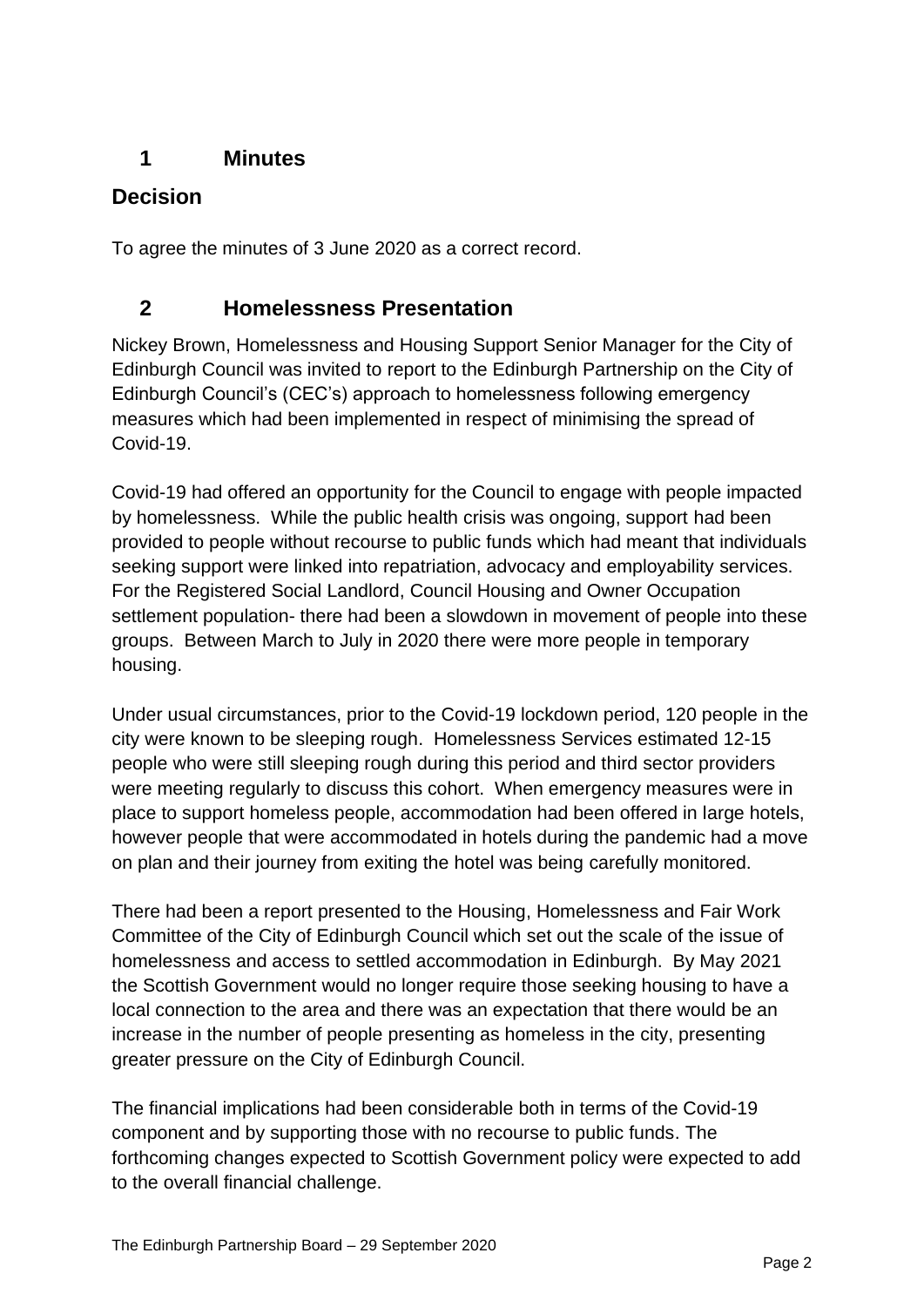## **1 Minutes**

#### **Decision**

To agree the minutes of 3 June 2020 as a correct record.

## **2 Homelessness Presentation**

Nickey Brown, Homelessness and Housing Support Senior Manager for the City of Edinburgh Council was invited to report to the Edinburgh Partnership on the City of Edinburgh Council's (CEC's) approach to homelessness following emergency measures which had been implemented in respect of minimising the spread of Covid-19.

Covid-19 had offered an opportunity for the Council to engage with people impacted by homelessness. While the public health crisis was ongoing, support had been provided to people without recourse to public funds which had meant that individuals seeking support were linked into repatriation, advocacy and employability services. For the Registered Social Landlord, Council Housing and Owner Occupation settlement population- there had been a slowdown in movement of people into these groups. Between March to July in 2020 there were more people in temporary housing.

Under usual circumstances, prior to the Covid-19 lockdown period, 120 people in the city were known to be sleeping rough. Homelessness Services estimated 12-15 people who were still sleeping rough during this period and third sector providers were meeting regularly to discuss this cohort. When emergency measures were in place to support homeless people, accommodation had been offered in large hotels, however people that were accommodated in hotels during the pandemic had a move on plan and their journey from exiting the hotel was being carefully monitored.

There had been a report presented to the Housing, Homelessness and Fair Work Committee of the City of Edinburgh Council which set out the scale of the issue of homelessness and access to settled accommodation in Edinburgh. By May 2021 the Scottish Government would no longer require those seeking housing to have a local connection to the area and there was an expectation that there would be an increase in the number of people presenting as homeless in the city, presenting greater pressure on the City of Edinburgh Council.

The financial implications had been considerable both in terms of the Covid-19 component and by supporting those with no recourse to public funds. The forthcoming changes expected to Scottish Government policy were expected to add to the overall financial challenge.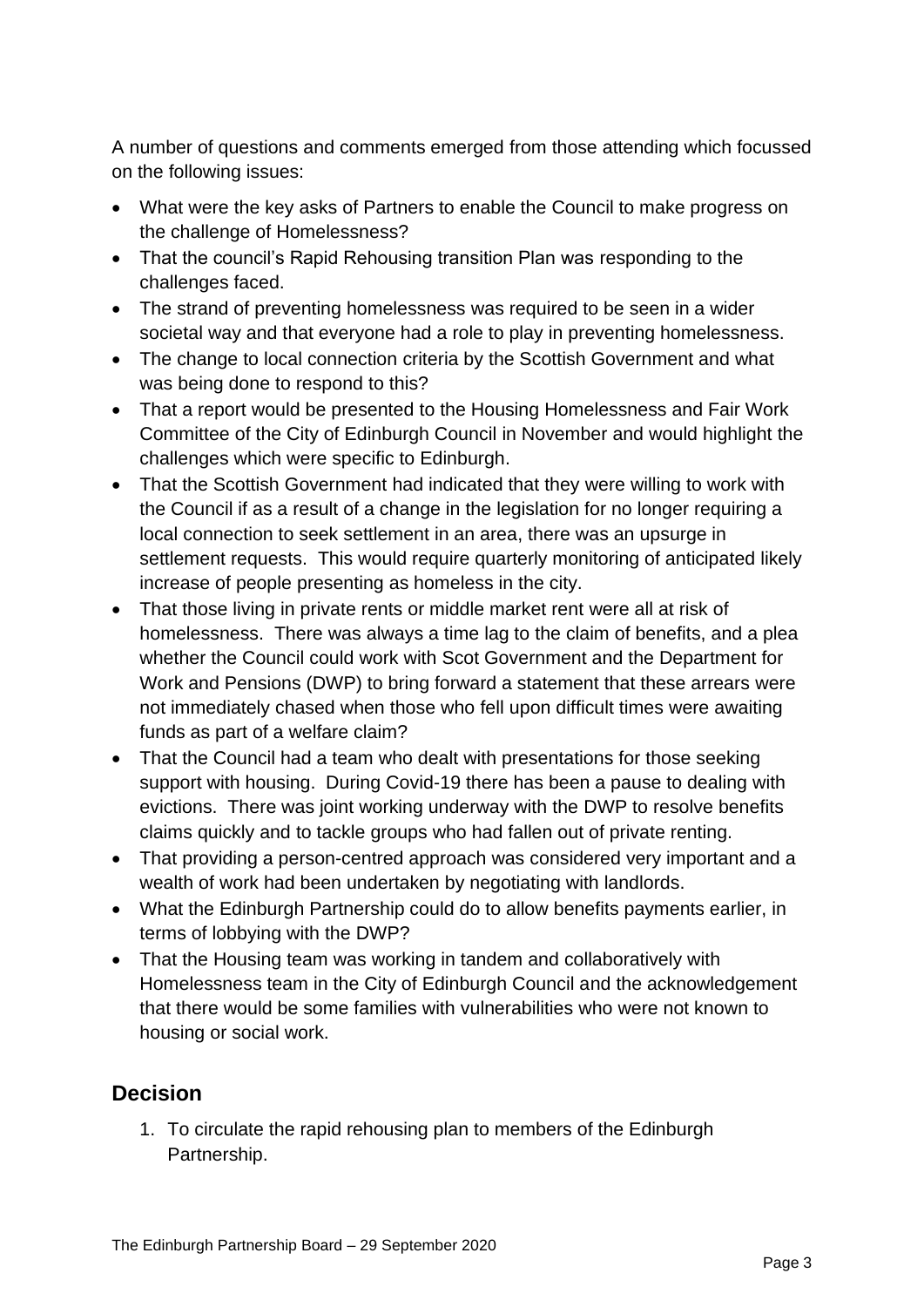A number of questions and comments emerged from those attending which focussed on the following issues:

- What were the key asks of Partners to enable the Council to make progress on the challenge of Homelessness?
- That the council's Rapid Rehousing transition Plan was responding to the challenges faced.
- The strand of preventing homelessness was required to be seen in a wider societal way and that everyone had a role to play in preventing homelessness.
- The change to local connection criteria by the Scottish Government and what was being done to respond to this?
- That a report would be presented to the Housing Homelessness and Fair Work Committee of the City of Edinburgh Council in November and would highlight the challenges which were specific to Edinburgh.
- That the Scottish Government had indicated that they were willing to work with the Council if as a result of a change in the legislation for no longer requiring a local connection to seek settlement in an area, there was an upsurge in settlement requests. This would require quarterly monitoring of anticipated likely increase of people presenting as homeless in the city.
- That those living in private rents or middle market rent were all at risk of homelessness. There was always a time lag to the claim of benefits, and a plea whether the Council could work with Scot Government and the Department for Work and Pensions (DWP) to bring forward a statement that these arrears were not immediately chased when those who fell upon difficult times were awaiting funds as part of a welfare claim?
- That the Council had a team who dealt with presentations for those seeking support with housing. During Covid-19 there has been a pause to dealing with evictions. There was joint working underway with the DWP to resolve benefits claims quickly and to tackle groups who had fallen out of private renting.
- That providing a person-centred approach was considered very important and a wealth of work had been undertaken by negotiating with landlords.
- What the Edinburgh Partnership could do to allow benefits payments earlier, in terms of lobbying with the DWP?
- That the Housing team was working in tandem and collaboratively with Homelessness team in the City of Edinburgh Council and the acknowledgement that there would be some families with vulnerabilities who were not known to housing or social work.

## **Decision**

1. To circulate the rapid rehousing plan to members of the Edinburgh Partnership.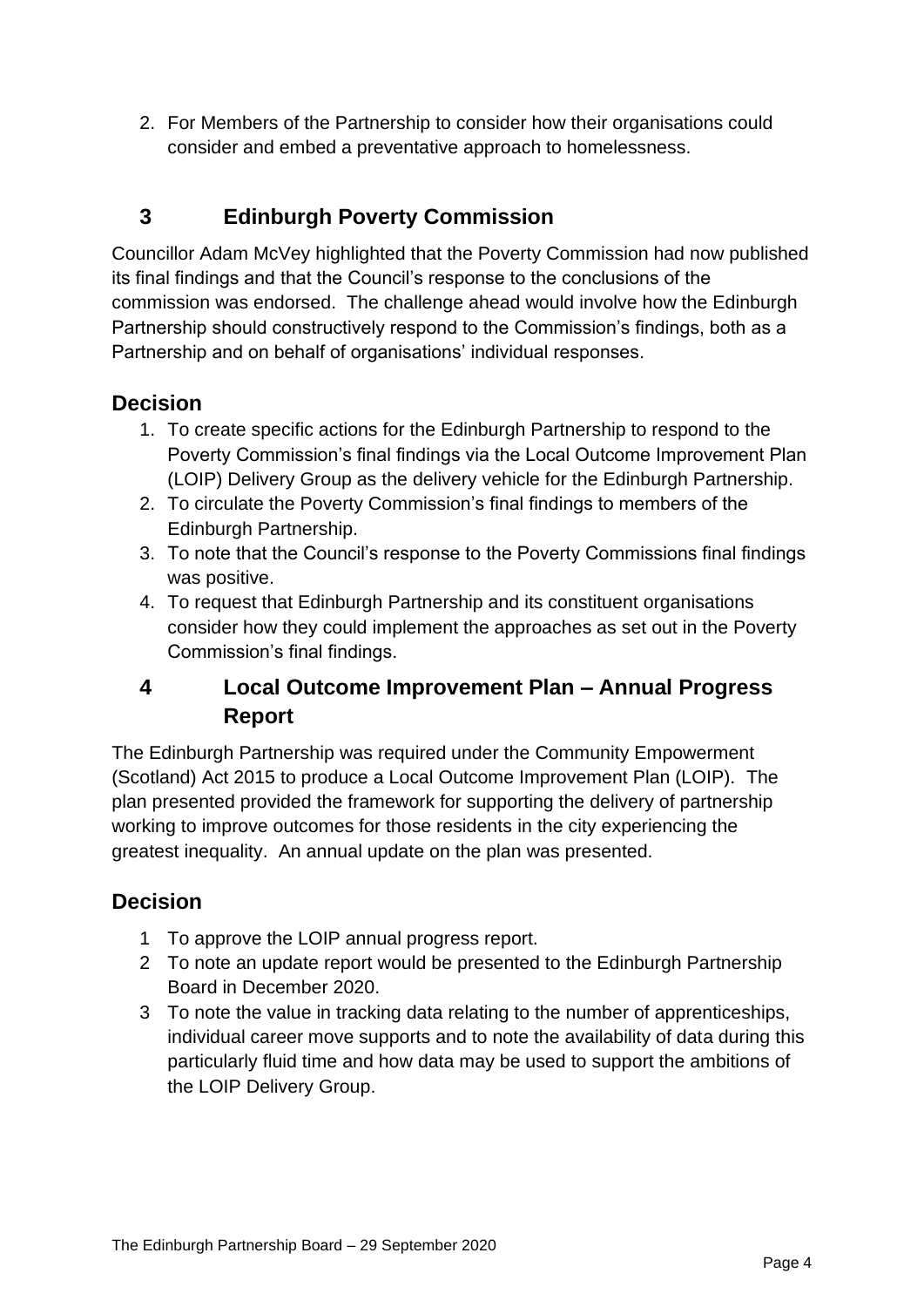2. For Members of the Partnership to consider how their organisations could consider and embed a preventative approach to homelessness.

# **3 Edinburgh Poverty Commission**

Councillor Adam McVey highlighted that the Poverty Commission had now published its final findings and that the Council's response to the conclusions of the commission was endorsed. The challenge ahead would involve how the Edinburgh Partnership should constructively respond to the Commission's findings, both as a Partnership and on behalf of organisations' individual responses.

#### **Decision**

- 1. To create specific actions for the Edinburgh Partnership to respond to the Poverty Commission's final findings via the Local Outcome Improvement Plan (LOIP) Delivery Group as the delivery vehicle for the Edinburgh Partnership.
- 2. To circulate the Poverty Commission's final findings to members of the Edinburgh Partnership.
- 3. To note that the Council's response to the Poverty Commissions final findings was positive.
- 4. To request that Edinburgh Partnership and its constituent organisations consider how they could implement the approaches as set out in the Poverty Commission's final findings.

## **4 Local Outcome Improvement Plan – Annual Progress Report**

The Edinburgh Partnership was required under the Community Empowerment (Scotland) Act 2015 to produce a Local Outcome Improvement Plan (LOIP). The plan presented provided the framework for supporting the delivery of partnership working to improve outcomes for those residents in the city experiencing the greatest inequality. An annual update on the plan was presented.

#### **Decision**

- 1 To approve the LOIP annual progress report.
- 2 To note an update report would be presented to the Edinburgh Partnership Board in December 2020.
- 3 To note the value in tracking data relating to the number of apprenticeships, individual career move supports and to note the availability of data during this particularly fluid time and how data may be used to support the ambitions of the LOIP Delivery Group.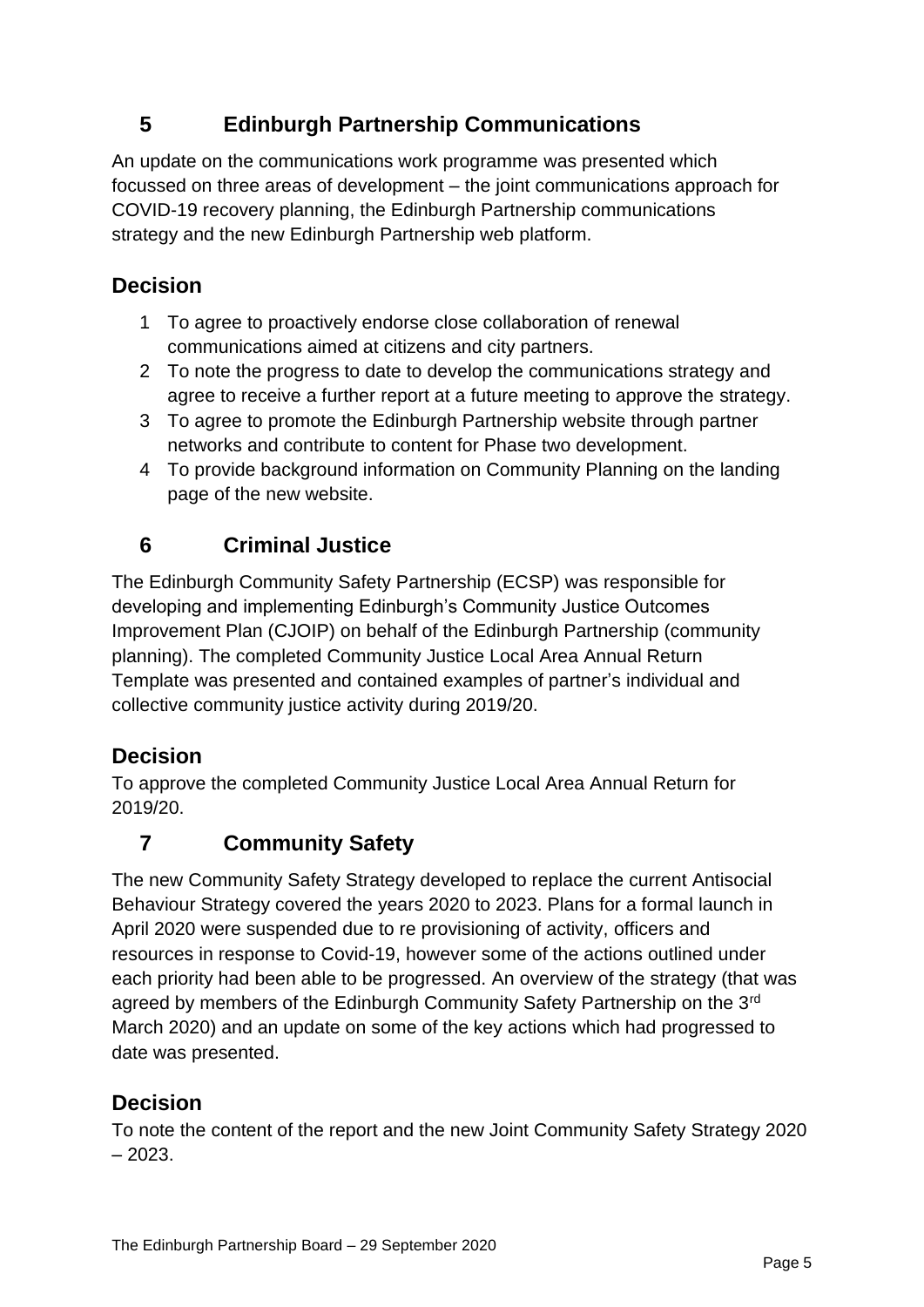# **5 Edinburgh Partnership Communications**

An update on the communications work programme was presented which focussed on three areas of development – the joint communications approach for COVID-19 recovery planning, the Edinburgh Partnership communications strategy and the new Edinburgh Partnership web platform.

## **Decision**

- 1 To agree to proactively endorse close collaboration of renewal communications aimed at citizens and city partners.
- 2 To note the progress to date to develop the communications strategy and agree to receive a further report at a future meeting to approve the strategy.
- 3 To agree to promote the Edinburgh Partnership website through partner networks and contribute to content for Phase two development.
- 4 To provide background information on Community Planning on the landing page of the new website.

## **6 Criminal Justice**

The Edinburgh Community Safety Partnership (ECSP) was responsible for developing and implementing Edinburgh's Community Justice Outcomes Improvement Plan (CJOIP) on behalf of the Edinburgh Partnership (community planning). The completed Community Justice Local Area Annual Return Template was presented and contained examples of partner's individual and collective community justice activity during 2019/20.

## **Decision**

To approve the completed Community Justice Local Area Annual Return for 2019/20.

# **7 Community Safety**

The new Community Safety Strategy developed to replace the current Antisocial Behaviour Strategy covered the years 2020 to 2023. Plans for a formal launch in April 2020 were suspended due to re provisioning of activity, officers and resources in response to Covid-19, however some of the actions outlined under each priority had been able to be progressed. An overview of the strategy (that was agreed by members of the Edinburgh Community Safety Partnership on the 3<sup>rd</sup> March 2020) and an update on some of the key actions which had progressed to date was presented.

#### **Decision**

To note the content of the report and the new Joint Community Safety Strategy 2020  $-2023.$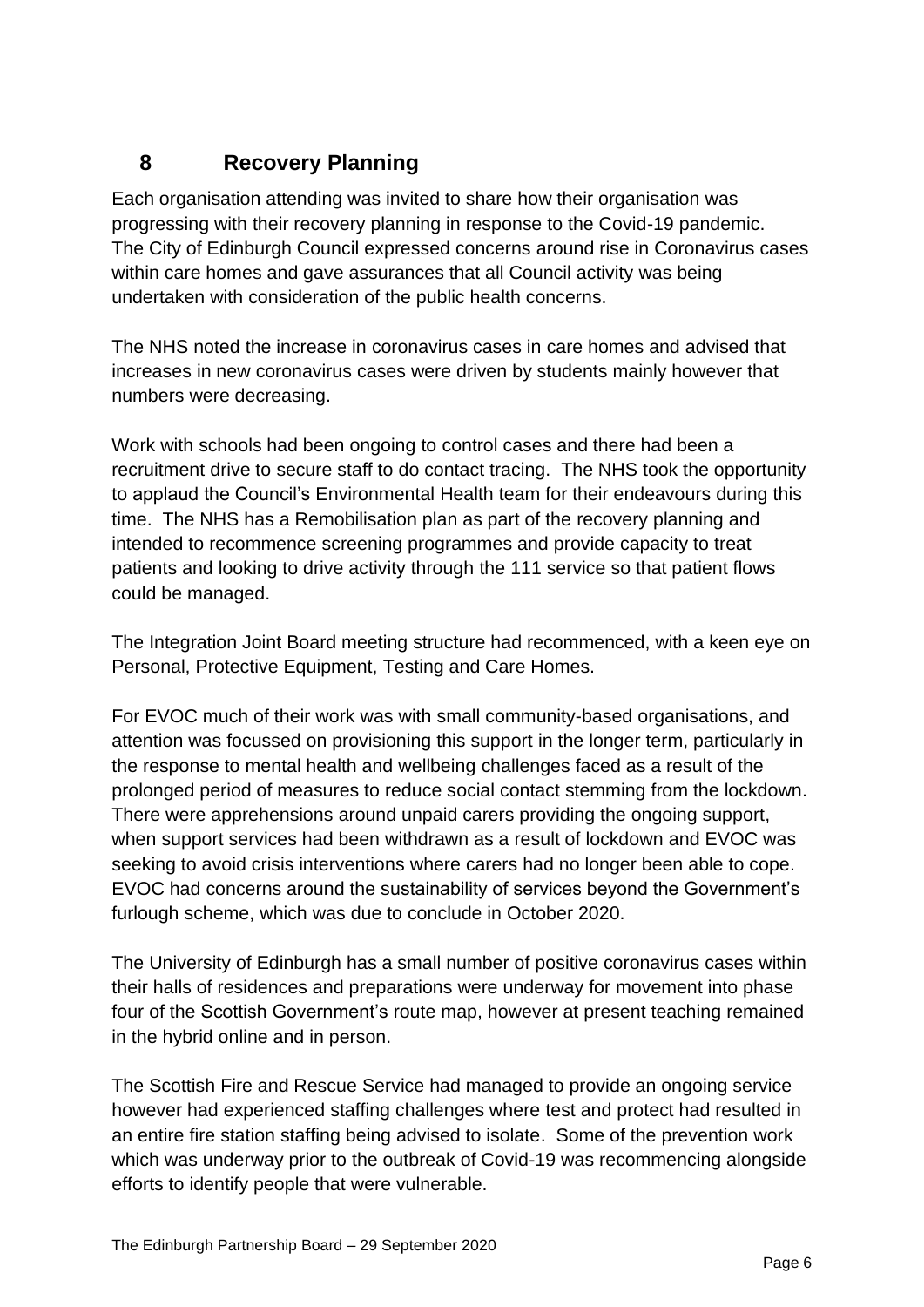# **8 Recovery Planning**

Each organisation attending was invited to share how their organisation was progressing with their recovery planning in response to the Covid-19 pandemic. The City of Edinburgh Council expressed concerns around rise in Coronavirus cases within care homes and gave assurances that all Council activity was being undertaken with consideration of the public health concerns.

The NHS noted the increase in coronavirus cases in care homes and advised that increases in new coronavirus cases were driven by students mainly however that numbers were decreasing.

Work with schools had been ongoing to control cases and there had been a recruitment drive to secure staff to do contact tracing. The NHS took the opportunity to applaud the Council's Environmental Health team for their endeavours during this time. The NHS has a Remobilisation plan as part of the recovery planning and intended to recommence screening programmes and provide capacity to treat patients and looking to drive activity through the 111 service so that patient flows could be managed.

The Integration Joint Board meeting structure had recommenced, with a keen eye on Personal, Protective Equipment, Testing and Care Homes.

For EVOC much of their work was with small community-based organisations, and attention was focussed on provisioning this support in the longer term, particularly in the response to mental health and wellbeing challenges faced as a result of the prolonged period of measures to reduce social contact stemming from the lockdown. There were apprehensions around unpaid carers providing the ongoing support, when support services had been withdrawn as a result of lockdown and EVOC was seeking to avoid crisis interventions where carers had no longer been able to cope. EVOC had concerns around the sustainability of services beyond the Government's furlough scheme, which was due to conclude in October 2020.

The University of Edinburgh has a small number of positive coronavirus cases within their halls of residences and preparations were underway for movement into phase four of the Scottish Government's route map, however at present teaching remained in the hybrid online and in person.

The Scottish Fire and Rescue Service had managed to provide an ongoing service however had experienced staffing challenges where test and protect had resulted in an entire fire station staffing being advised to isolate. Some of the prevention work which was underway prior to the outbreak of Covid-19 was recommencing alongside efforts to identify people that were vulnerable.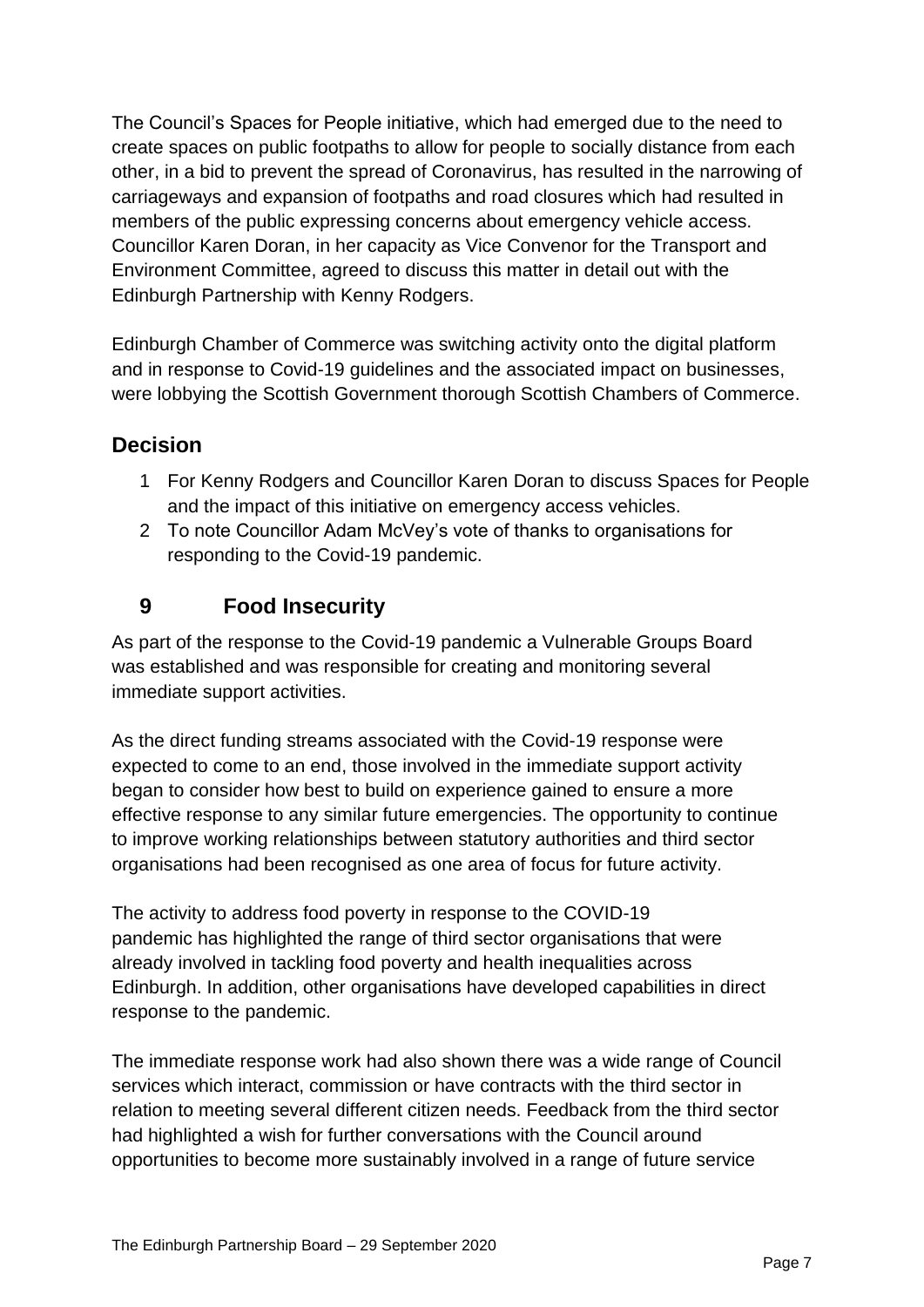The Council's Spaces for People initiative, which had emerged due to the need to create spaces on public footpaths to allow for people to socially distance from each other, in a bid to prevent the spread of Coronavirus, has resulted in the narrowing of carriageways and expansion of footpaths and road closures which had resulted in members of the public expressing concerns about emergency vehicle access. Councillor Karen Doran, in her capacity as Vice Convenor for the Transport and Environment Committee, agreed to discuss this matter in detail out with the Edinburgh Partnership with Kenny Rodgers.

Edinburgh Chamber of Commerce was switching activity onto the digital platform and in response to Covid-19 guidelines and the associated impact on businesses, were lobbying the Scottish Government thorough Scottish Chambers of Commerce.

#### **Decision**

- 1 For Kenny Rodgers and Councillor Karen Doran to discuss Spaces for People and the impact of this initiative on emergency access vehicles.
- 2 To note Councillor Adam McVey's vote of thanks to organisations for responding to the Covid-19 pandemic.

#### **9 Food Insecurity**

As part of the response to the Covid-19 pandemic a Vulnerable Groups Board was established and was responsible for creating and monitoring several immediate support activities.

As the direct funding streams associated with the Covid-19 response were expected to come to an end, those involved in the immediate support activity began to consider how best to build on experience gained to ensure a more effective response to any similar future emergencies. The opportunity to continue to improve working relationships between statutory authorities and third sector organisations had been recognised as one area of focus for future activity.

The activity to address food poverty in response to the COVID-19 pandemic has highlighted the range of third sector organisations that were already involved in tackling food poverty and health inequalities across Edinburgh. In addition, other organisations have developed capabilities in direct response to the pandemic.

The immediate response work had also shown there was a wide range of Council services which interact, commission or have contracts with the third sector in relation to meeting several different citizen needs. Feedback from the third sector had highlighted a wish for further conversations with the Council around opportunities to become more sustainably involved in a range of future service